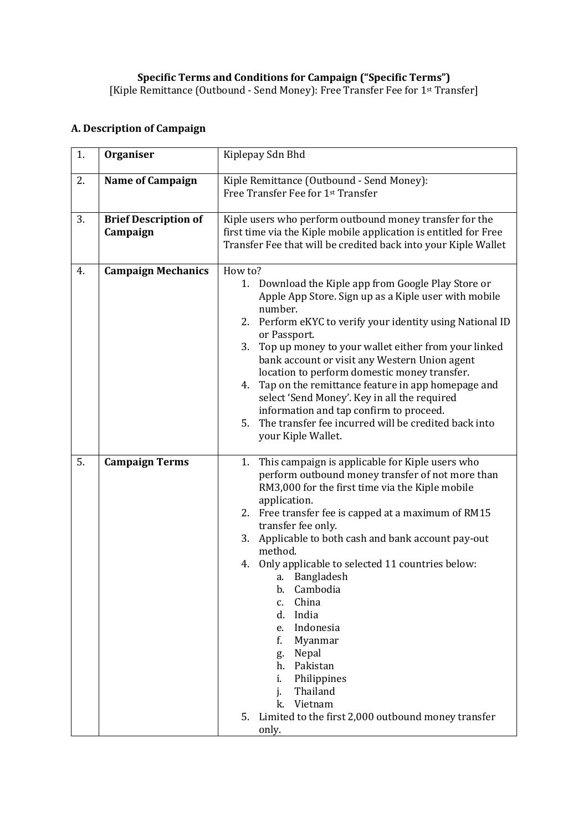## **A. Description of Campaign**

| 1. | <b>Organiser</b>                        | Kiplepay Sdn Bhd                                                                                                                                                                                                                                                                                                                                                                                                                                                                                                                                                                                                                                           |
|----|-----------------------------------------|------------------------------------------------------------------------------------------------------------------------------------------------------------------------------------------------------------------------------------------------------------------------------------------------------------------------------------------------------------------------------------------------------------------------------------------------------------------------------------------------------------------------------------------------------------------------------------------------------------------------------------------------------------|
| 2. | <b>Name of Campaign</b>                 | Kiple Remittance (Outbound - Send Money):<br>Free Transfer Fee for 1st Transfer                                                                                                                                                                                                                                                                                                                                                                                                                                                                                                                                                                            |
| 3. | <b>Brief Description of</b><br>Campaign | Kiple users who perform outbound money transfer for the<br>first time via the Kiple mobile application is entitled for Free<br>Transfer Fee that will be credited back into your Kiple Wallet                                                                                                                                                                                                                                                                                                                                                                                                                                                              |
| 4. | <b>Campaign Mechanics</b>               | How to?<br>Download the Kiple app from Google Play Store or<br>1.<br>Apple App Store. Sign up as a Kiple user with mobile<br>number.<br>2. Perform eKYC to verify your identity using National ID<br>or Passport.<br>Top up money to your wallet either from your linked<br>3.<br>bank account or visit any Western Union agent<br>location to perform domestic money transfer.<br>Tap on the remittance feature in app homepage and<br>4.<br>select 'Send Money'. Key in all the required<br>information and tap confirm to proceed.<br>The transfer fee incurred will be credited back into<br>5.<br>your Kiple Wallet.                                  |
| 5. | <b>Campaign Terms</b>                   | This campaign is applicable for Kiple users who<br>1.<br>perform outbound money transfer of not more than<br>RM3,000 for the first time via the Kiple mobile<br>application.<br>2. Free transfer fee is capped at a maximum of RM15<br>transfer fee only.<br>Applicable to both cash and bank account pay-out<br>3.<br>method.<br>Only applicable to selected 11 countries below:<br>4.<br>Bangladesh<br>а.<br>b. Cambodia<br>China<br>c.<br>India<br>d.<br>Indonesia<br>e.<br>Myanmar<br>f.<br>Nepal<br>g.<br>Pakistan<br>h.<br>Philippines<br>i.<br>Thailand<br>i.<br>Vietnam<br>k.<br>Limited to the first 2,000 outbound money transfer<br>5.<br>only. |